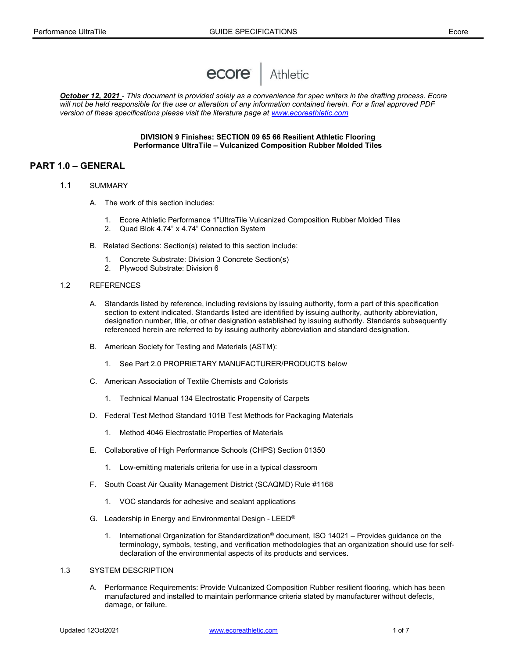

October 12, 2021 - This document is provided solely as a convenience for spec writers in the drafting process. Ecore will not be held responsible for the use or alteration of any information contained herein. For a final approved PDF version of these specifications please visit the literature page at www.ecoreathletic.com

### DIVISION 9 Finishes: SECTION 09 65 66 Resilient Athletic Flooring Performance UltraTile – Vulcanized Composition Rubber Molded Tiles

# PART 1.0 – GENERAL

- 1.1 SUMMARY
	- A. The work of this section includes:
		- 1. Ecore Athletic Performance 1"UltraTile Vulcanized Composition Rubber Molded Tiles
		- 2. Quad Blok 4.74" x 4.74" Connection System
	- B. Related Sections: Section(s) related to this section include:
		- 1. Concrete Substrate: Division 3 Concrete Section(s)
		- 2. Plywood Substrate: Division 6

#### 1.2 REFERENCES

- A. Standards listed by reference, including revisions by issuing authority, form a part of this specification section to extent indicated. Standards listed are identified by issuing authority, authority abbreviation, designation number, title, or other designation established by issuing authority. Standards subsequently referenced herein are referred to by issuing authority abbreviation and standard designation.
- B. American Society for Testing and Materials (ASTM):
	- 1. See Part 2.0 PROPRIETARY MANUFACTURER/PRODUCTS below
- C. American Association of Textile Chemists and Colorists
	- 1. Technical Manual 134 Electrostatic Propensity of Carpets
- D. Federal Test Method Standard 101B Test Methods for Packaging Materials
	- 1. Method 4046 Electrostatic Properties of Materials
- E. Collaborative of High Performance Schools (CHPS) Section 01350
	- 1. Low-emitting materials criteria for use in a typical classroom
- F. South Coast Air Quality Management District (SCAQMD) Rule #1168
	- 1. VOC standards for adhesive and sealant applications
- G. Leadership in Energy and Environmental Design LEED®
	- 1. International Organization for Standardization® document, ISO 14021 Provides guidance on the terminology, symbols, testing, and verification methodologies that an organization should use for selfdeclaration of the environmental aspects of its products and services.

## 1.3 SYSTEM DESCRIPTION

 A. Performance Requirements: Provide Vulcanized Composition Rubber resilient flooring, which has been manufactured and installed to maintain performance criteria stated by manufacturer without defects, damage, or failure.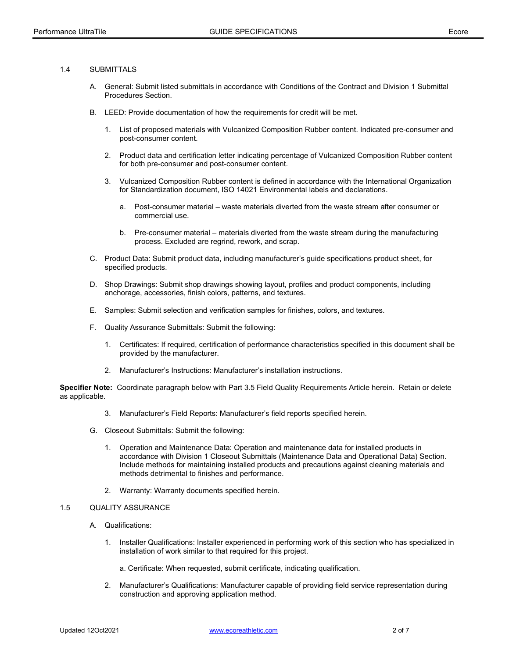# 1.4 SUBMITTALS

- A. General: Submit listed submittals in accordance with Conditions of the Contract and Division 1 Submittal Procedures Section.
- B. LEED: Provide documentation of how the requirements for credit will be met.
	- 1. List of proposed materials with Vulcanized Composition Rubber content. Indicated pre-consumer and post-consumer content.
	- 2. Product data and certification letter indicating percentage of Vulcanized Composition Rubber content for both pre-consumer and post-consumer content.
	- 3. Vulcanized Composition Rubber content is defined in accordance with the International Organization for Standardization document, ISO 14021 Environmental labels and declarations.
		- a. Post-consumer material waste materials diverted from the waste stream after consumer or commercial use.
		- b. Pre-consumer material materials diverted from the waste stream during the manufacturing process. Excluded are regrind, rework, and scrap.
- C. Product Data: Submit product data, including manufacturer's guide specifications product sheet, for specified products.
- D. Shop Drawings: Submit shop drawings showing layout, profiles and product components, including anchorage, accessories, finish colors, patterns, and textures.
- E. Samples: Submit selection and verification samples for finishes, colors, and textures.
- F. Quality Assurance Submittals: Submit the following:
	- 1. Certificates: If required, certification of performance characteristics specified in this document shall be provided by the manufacturer.
	- 2. Manufacturer's Instructions: Manufacturer's installation instructions.

Specifier Note: Coordinate paragraph below with Part 3.5 Field Quality Requirements Article herein. Retain or delete as applicable.

- 3. Manufacturer's Field Reports: Manufacturer's field reports specified herein.
- G. Closeout Submittals: Submit the following:
	- 1. Operation and Maintenance Data: Operation and maintenance data for installed products in accordance with Division 1 Closeout Submittals (Maintenance Data and Operational Data) Section. Include methods for maintaining installed products and precautions against cleaning materials and methods detrimental to finishes and performance.
	- 2. Warranty: Warranty documents specified herein.

# 1.5 QUALITY ASSURANCE

- A. Qualifications:
	- 1. Installer Qualifications: Installer experienced in performing work of this section who has specialized in installation of work similar to that required for this project.

a. Certificate: When requested, submit certificate, indicating qualification.

 2. Manufacturer's Qualifications: Manufacturer capable of providing field service representation during construction and approving application method.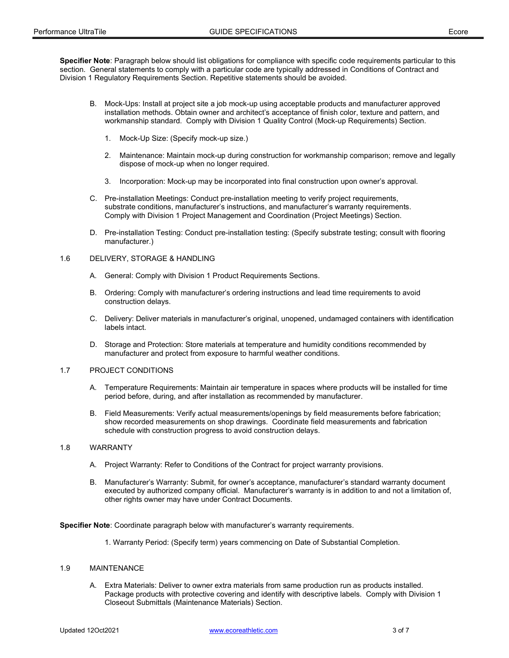Specifier Note: Paragraph below should list obligations for compliance with specific code requirements particular to this section. General statements to comply with a particular code are typically addressed in Conditions of Contract and Division 1 Regulatory Requirements Section. Repetitive statements should be avoided.

- B. Mock-Ups: Install at project site a job mock-up using acceptable products and manufacturer approved installation methods. Obtain owner and architect's acceptance of finish color, texture and pattern, and workmanship standard. Comply with Division 1 Quality Control (Mock-up Requirements) Section.
	- 1. Mock-Up Size: (Specify mock-up size.)
	- 2. Maintenance: Maintain mock-up during construction for workmanship comparison; remove and legally dispose of mock-up when no longer required.
	- 3. Incorporation: Mock-up may be incorporated into final construction upon owner's approval.
- C. Pre-installation Meetings: Conduct pre-installation meeting to verify project requirements, substrate conditions, manufacturer's instructions, and manufacturer's warranty requirements. Comply with Division 1 Project Management and Coordination (Project Meetings) Section.
- D. Pre-installation Testing: Conduct pre-installation testing: (Specify substrate testing; consult with flooring manufacturer.)

#### 1.6 DELIVERY, STORAGE & HANDLING

- A. General: Comply with Division 1 Product Requirements Sections.
- B. Ordering: Comply with manufacturer's ordering instructions and lead time requirements to avoid construction delays.
- C. Delivery: Deliver materials in manufacturer's original, unopened, undamaged containers with identification labels intact.
- D. Storage and Protection: Store materials at temperature and humidity conditions recommended by manufacturer and protect from exposure to harmful weather conditions.

#### 1.7 PROJECT CONDITIONS

- A. Temperature Requirements: Maintain air temperature in spaces where products will be installed for time period before, during, and after installation as recommended by manufacturer.
- B. Field Measurements: Verify actual measurements/openings by field measurements before fabrication; show recorded measurements on shop drawings. Coordinate field measurements and fabrication schedule with construction progress to avoid construction delays.

#### 1.8 WARRANTY

- A. Project Warranty: Refer to Conditions of the Contract for project warranty provisions.
- B. Manufacturer's Warranty: Submit, for owner's acceptance, manufacturer's standard warranty document executed by authorized company official. Manufacturer's warranty is in addition to and not a limitation of, other rights owner may have under Contract Documents.

Specifier Note: Coordinate paragraph below with manufacturer's warranty requirements.

1. Warranty Period: (Specify term) years commencing on Date of Substantial Completion.

#### 1.9 MAINTENANCE

 A. Extra Materials: Deliver to owner extra materials from same production run as products installed. Package products with protective covering and identify with descriptive labels. Comply with Division 1 Closeout Submittals (Maintenance Materials) Section.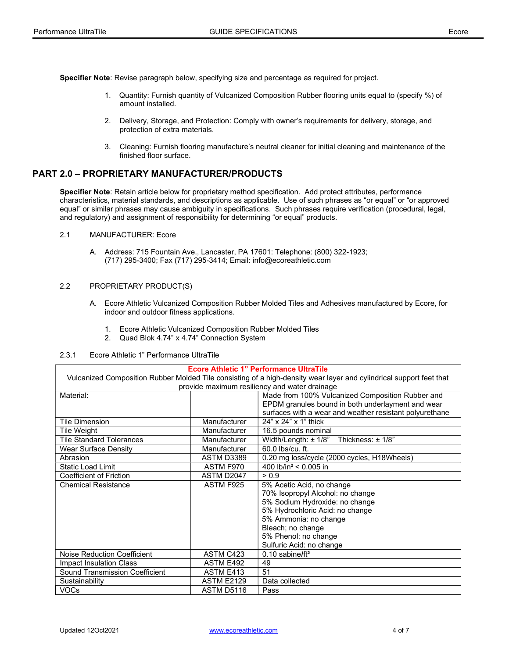Specifier Note: Revise paragraph below, specifying size and percentage as required for project.

- 1. Quantity: Furnish quantity of Vulcanized Composition Rubber flooring units equal to (specify %) of amount installed.
- 2. Delivery, Storage, and Protection: Comply with owner's requirements for delivery, storage, and protection of extra materials.
- 3. Cleaning: Furnish flooring manufacture's neutral cleaner for initial cleaning and maintenance of the finished floor surface.

# PART 2.0 – PROPRIETARY MANUFACTURER/PRODUCTS

Specifier Note: Retain article below for proprietary method specification. Add protect attributes, performance characteristics, material standards, and descriptions as applicable. Use of such phrases as "or equal" or "or approved equal" or similar phrases may cause ambiguity in specifications. Such phrases require verification (procedural, legal, and regulatory) and assignment of responsibility for determining "or equal" products.

- 2.1 MANUFACTURER: Ecore
	- A. Address: 715 Fountain Ave., Lancaster, PA 17601: Telephone: (800) 322-1923; (717) 295-3400; Fax (717) 295-3414; Email: info@ecoreathletic.com

### 2.2 PROPRIETARY PRODUCT(S)

- A. Ecore Athletic Vulcanized Composition Rubber Molded Tiles and Adhesives manufactured by Ecore, for indoor and outdoor fitness applications.
	- 1. Ecore Athletic Vulcanized Composition Rubber Molded Tiles
	- 2. Quad Blok 4.74" x 4.74" Connection System
- 2.3.1 Ecore Athletic 1" Performance UltraTile

#### Ecore Athletic 1" Performance UltraTile

Vulcanized Composition Rubber Molded Tile consisting of a high-density wear layer and cylindrical support feet that provide maximum resiliency and water drainage

| provide maximum resiliency and water drainage |                   |                                                         |  |
|-----------------------------------------------|-------------------|---------------------------------------------------------|--|
| Material:                                     |                   | Made from 100% Vulcanized Composition Rubber and        |  |
|                                               |                   | EPDM granules bound in both underlayment and wear       |  |
|                                               |                   | surfaces with a wear and weather resistant polyurethane |  |
| <b>Tile Dimension</b>                         | Manufacturer      | 24" x 24" x 1" thick                                    |  |
| Tile Weight                                   | Manufacturer      | 16.5 pounds nominal                                     |  |
| <b>Tile Standard Tolerances</b>               | Manufacturer      | Width/Length: $\pm$ 1/8"<br>Thickness: $\pm$ 1/8"       |  |
| Wear Surface Density                          | Manufacturer      | 60.0 lbs/cu. ft.                                        |  |
| Abrasion                                      | ASTM D3389        | 0.20 mg loss/cycle (2000 cycles, H18Wheels)             |  |
| <b>Static Load Limit</b>                      | ASTM F970         | 400 lb/in <sup>2</sup> < 0.005 in                       |  |
| Coefficient of Friction                       | ASTM D2047        | > 0.9                                                   |  |
| <b>Chemical Resistance</b>                    | ASTM F925         | 5% Acetic Acid, no change                               |  |
|                                               |                   | 70% Isopropyl Alcohol: no change                        |  |
|                                               |                   | 5% Sodium Hydroxide: no change                          |  |
|                                               |                   | 5% Hydrochloric Acid: no change                         |  |
|                                               |                   | 5% Ammonia: no change                                   |  |
|                                               |                   | Bleach; no change                                       |  |
|                                               |                   | 5% Phenol: no change                                    |  |
|                                               |                   | Sulfuric Acid: no change                                |  |
| Noise Reduction Coefficient                   | ASTM C423         | $0.10$ sabine/ft <sup>2</sup>                           |  |
| Impact Insulation Class                       | ASTM E492         | 49                                                      |  |
| <b>Sound Transmission Coefficient</b>         | <b>ASTM E413</b>  | 51                                                      |  |
| Sustainability                                | <b>ASTM E2129</b> | Data collected                                          |  |
| <b>VOCs</b>                                   | ASTM D5116        | Pass                                                    |  |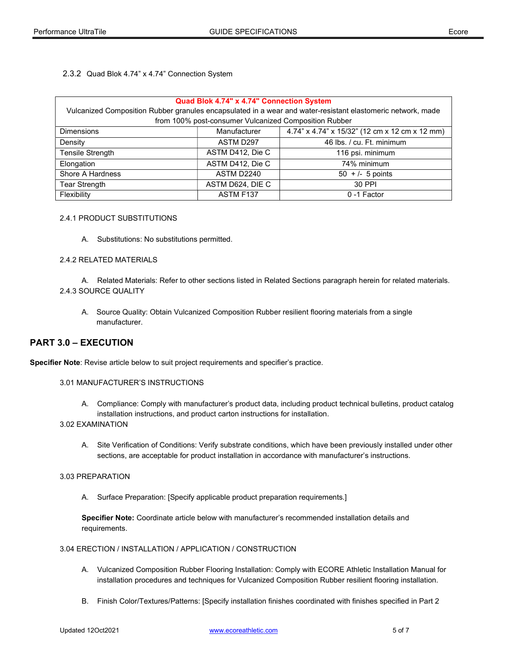2.3.2 Quad Blok 4.74" x 4.74" Connection System

| Quad Blok 4.74" x 4.74" Connection System                                                                   |                  |                                                |  |  |
|-------------------------------------------------------------------------------------------------------------|------------------|------------------------------------------------|--|--|
| Vulcanized Composition Rubber granules encapsulated in a wear and water-resistant elastomeric network, made |                  |                                                |  |  |
| from 100% post-consumer Vulcanized Composition Rubber                                                       |                  |                                                |  |  |
| <b>Dimensions</b>                                                                                           | Manufacturer     | 4.74" x 4.74" x 15/32" (12 cm x 12 cm x 12 mm) |  |  |
| Density                                                                                                     | ASTM D297        | 46 lbs. / cu. Ft. minimum                      |  |  |
| Tensile Strength                                                                                            | ASTM D412, Die C | 116 psi. minimum                               |  |  |
| Elongation                                                                                                  | ASTM D412, Die C | 74% minimum                                    |  |  |
| Shore A Hardness                                                                                            | ASTM D2240       | $50 + 1 - 5$ points                            |  |  |
| Tear Strength                                                                                               | ASTM D624, DIE C | 30 PPI                                         |  |  |
| Flexibility                                                                                                 | ASTM F137        | 0-1 Factor                                     |  |  |

## 2.4.1 PRODUCT SUBSTITUTIONS

A. Substitutions: No substitutions permitted.

## 2.4.2 RELATED MATERIALS

- A. Related Materials: Refer to other sections listed in Related Sections paragraph herein for related materials. 2.4.3 SOURCE QUALITY
	- A. Source Quality: Obtain Vulcanized Composition Rubber resilient flooring materials from a single manufacturer.

# PART 3.0 – EXECUTION

Specifier Note: Revise article below to suit project requirements and specifier's practice.

#### 3.01 MANUFACTURER'S INSTRUCTIONS

 A. Compliance: Comply with manufacturer's product data, including product technical bulletins, product catalog installation instructions, and product carton instructions for installation.

# 3.02 EXAMINATION

 A. Site Verification of Conditions: Verify substrate conditions, which have been previously installed under other sections, are acceptable for product installation in accordance with manufacturer's instructions.

#### 3.03 PREPARATION

A. Surface Preparation: [Specify applicable product preparation requirements.]

Specifier Note: Coordinate article below with manufacturer's recommended installation details and requirements.

# 3.04 ERECTION / INSTALLATION / APPLICATION / CONSTRUCTION

- A. Vulcanized Composition Rubber Flooring Installation: Comply with ECORE Athletic Installation Manual for installation procedures and techniques for Vulcanized Composition Rubber resilient flooring installation.
- B. Finish Color/Textures/Patterns: [Specify installation finishes coordinated with finishes specified in Part 2